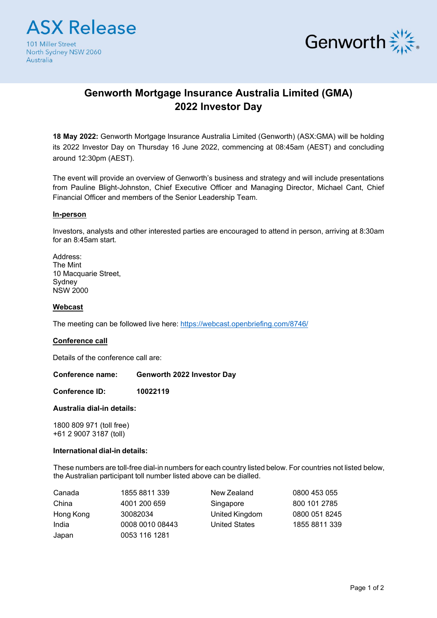



# **Genworth Mortgage Insurance Australia Limited (GMA) 2022 Investor Day**

**18 May 2022:** Genworth Mortgage lnsurance Australia Limited (Genworth) (ASX:GMA) will be holding its 2022 Investor Day on Thursday 16 June 2022, commencing at 08:45am (AEST) and concluding around 12:30pm (AEST).

The event will provide an overview of Genworth's business and strategy and will include presentations from Pauline Blight-Johnston, Chief Executive Officer and Managing Director, Michael Cant, Chief Financial Officer and members of the Senior Leadership Team.

## **In-person**

Investors, analysts and other interested parties are encouraged to attend in person, arriving at 8:30am for an 8:45am start.

Address: The Mint 10 Macquarie Street, Sydney NSW 2000

## **Webcast**

The meeting can be followed live here:<https://webcast.openbriefing.com/8746/>

#### **Conference call**

Details of the conference call are:

**Conference name: Genworth 2022 Investor Day**

**Conference ID: 10022119**

#### **Australia dial-in details:**

1800 809 971 (toll free) +61 2 9007 3187 (toll)

#### **International dial-in details:**

These numbers are toll-free dial-in numbers for each country listed below. For countries not listed below, the Australian participant toll number listed above can be dialled.

| Canada    | 1855 8811 339   | New Zealand          | 0800 453 055  |
|-----------|-----------------|----------------------|---------------|
| China     | 4001 200 659    | Singapore            | 800 101 2785  |
| Hong Kong | 30082034        | United Kingdom       | 0800 051 8245 |
| India     | 0008 0010 08443 | <b>United States</b> | 1855 8811 339 |
| Japan     | 0053 116 1281   |                      |               |